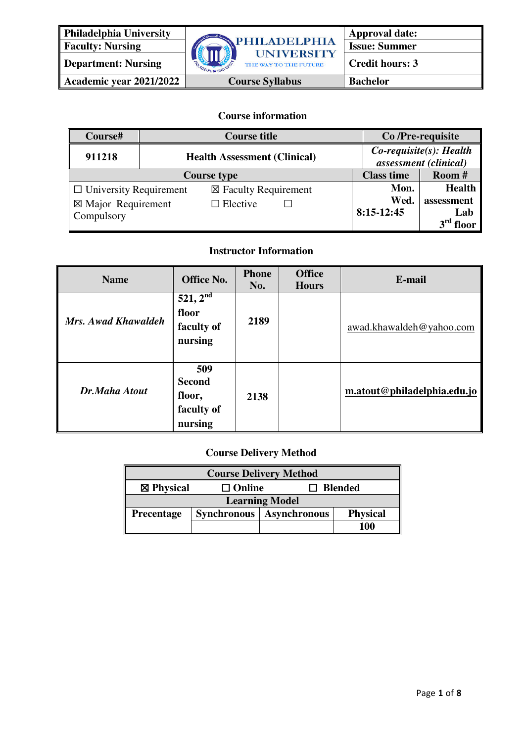

**Academic year 2021/2022** Course Syllabus Bachelor

**Course information**

| Course#                       | <b>Course title</b>                 |                                 | Co/Pre-requisite                                    |               |
|-------------------------------|-------------------------------------|---------------------------------|-----------------------------------------------------|---------------|
| 911218                        | <b>Health Assessment (Clinical)</b> |                                 | $Co$ -requisite(s): Health<br>assessment (clinical) |               |
| <b>Course type</b>            |                                     |                                 | <b>Class time</b>                                   | Room #        |
| $\Box$ University Requirement |                                     | $\boxtimes$ Faculty Requirement | Mon.                                                | <b>Health</b> |
| $\boxtimes$ Major Requirement |                                     | $\Box$ Elective                 | Wed.                                                | assessment    |
| Compulsory                    |                                     |                                 | $8:15-12:45$                                        | Lab           |
|                               |                                     |                                 |                                                     | $3rd$ floor   |

### **Instructor Information**

| <b>Name</b>         | <b>Office No.</b>                                       | <b>Phone</b><br>No. | <b>Office</b><br><b>Hours</b> | E-mail                      |
|---------------------|---------------------------------------------------------|---------------------|-------------------------------|-----------------------------|
| Mrs. Awad Khawaldeh | $521, 2^{nd}$<br>floor<br>faculty of<br>nursing         | 2189                |                               | awad.khawaldeh@yahoo.com    |
| Dr.Maha Atout       | 509<br><b>Second</b><br>floor,<br>faculty of<br>nursing | 2138                |                               | m.atout@philadelphia.edu.jo |

### **Course Delivery Method**

| <b>Course Delivery Method</b>                                                     |  |  |  |  |
|-----------------------------------------------------------------------------------|--|--|--|--|
| $\boxtimes$ Physical<br><b>Blended</b><br>$\square$ Online                        |  |  |  |  |
| <b>Learning Model</b>                                                             |  |  |  |  |
| <b>Physical</b><br><b>Asynchronous</b><br><b>Synchronous</b><br><b>Precentage</b> |  |  |  |  |
| 100                                                                               |  |  |  |  |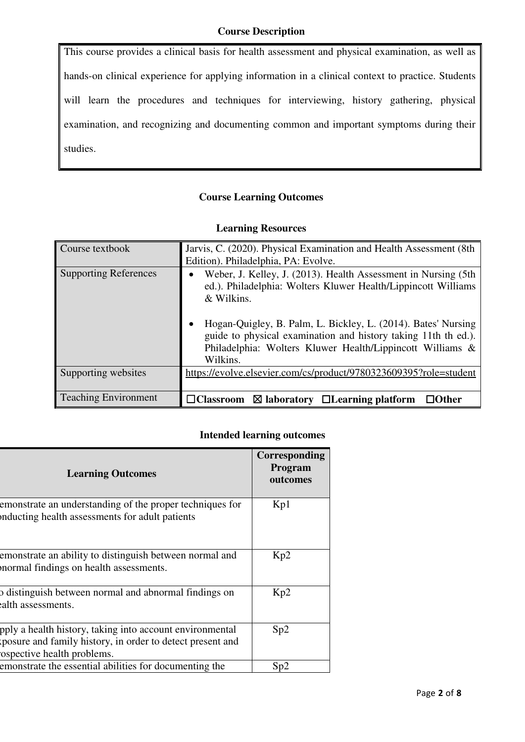This course provides a clinical basis for health assessment and physical examination, as well as hands-on clinical experience for applying information in a clinical context to practice. Students will learn the procedures and techniques for interviewing, history gathering, physical examination, and recognizing and documenting common and important symptoms during their studies.

#### **Course Learning Outcomes**

| Course textbook              | Jarvis, C. (2020). Physical Examination and Health Assessment (8th<br>Edition). Philadelphia, PA: Evolve.                                                                                                                                                                                                                                                 |
|------------------------------|-----------------------------------------------------------------------------------------------------------------------------------------------------------------------------------------------------------------------------------------------------------------------------------------------------------------------------------------------------------|
| <b>Supporting References</b> | Weber, J. Kelley, J. (2013). Health Assessment in Nursing (5th<br>ed.). Philadelphia: Wolters Kluwer Health/Lippincott Williams<br>& Wilkins.<br>Hogan-Quigley, B. Palm, L. Bickley, L. (2014). Bates' Nursing<br>guide to physical examination and history taking 11th th ed.).<br>Philadelphia: Wolters Kluwer Health/Lippincott Williams &<br>Wilkins. |
| Supporting websites          | https://evolve.elsevier.com/cs/product/9780323609395?role=student                                                                                                                                                                                                                                                                                         |
| <b>Teaching Environment</b>  | $\boxtimes$ laboratory $\Box$ Learning platform<br>$\Box$ Other<br>$\Box$ Classroom                                                                                                                                                                                                                                                                       |

#### **Learning Resources**

### **Intended learning outcomes**

| <b>Learning Outcomes</b>                                                                                                                            | Corresponding<br>Program<br>outcomes |
|-----------------------------------------------------------------------------------------------------------------------------------------------------|--------------------------------------|
| emonstrate an understanding of the proper techniques for<br>inducting health assessments for adult patients                                         | Kp1                                  |
| emonstrate an ability to distinguish between normal and<br>normal findings on health assessments.                                                   | Kp2                                  |
| p distinguish between normal and abnormal findings on<br>alth assessments.                                                                          | Kp2                                  |
| pply a health history, taking into account environmental<br>posure and family history, in order to detect present and<br>ospective health problems. | Sp2                                  |
| emonstrate the essential abilities for documenting the                                                                                              | Sp2                                  |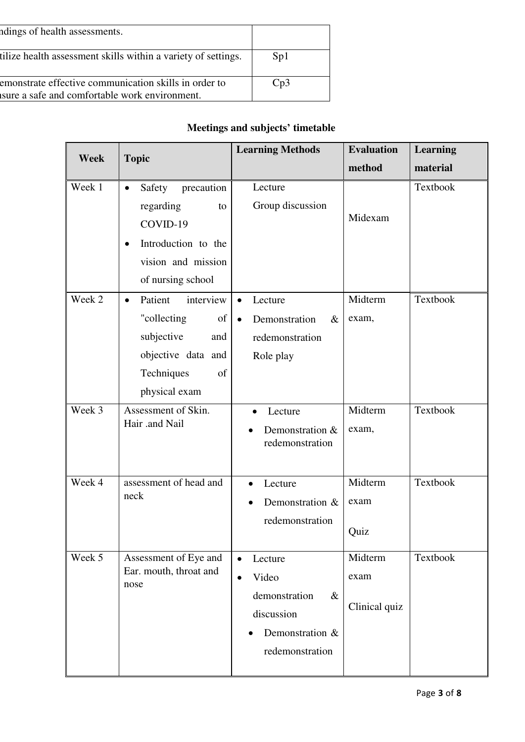| ndings of health assessments.                                                                          |     |
|--------------------------------------------------------------------------------------------------------|-----|
| tilize health assessment skills within a variety of settings.                                          | Sp1 |
| emonstrate effective communication skills in order to<br>sure a safe and comfortable work environment. | Cp3 |

# **Meetings and subjects' timetable**

| <b>Week</b> | <b>Topic</b>                                                                                                                                    | <b>Learning Methods</b>                                                                                                 | <b>Evaluation</b>                | Learning |
|-------------|-------------------------------------------------------------------------------------------------------------------------------------------------|-------------------------------------------------------------------------------------------------------------------------|----------------------------------|----------|
|             |                                                                                                                                                 |                                                                                                                         | method                           | material |
| Week 1      | Safety<br>precaution<br>$\bullet$<br>regarding<br>to<br>COVID-19<br>Introduction to the<br>$\bullet$<br>vision and mission<br>of nursing school | Lecture<br>Group discussion                                                                                             | Midexam                          | Textbook |
| Week 2      | interview<br>Patient<br>$\bullet$<br>"collecting<br>of<br>subjective<br>and<br>objective data and<br>Techniques<br>of<br>physical exam          | Lecture<br>$\bullet$<br>Demonstration<br>$\&$<br>$\bullet$<br>redemonstration<br>Role play                              | Midterm<br>exam,                 | Textbook |
| Week 3      | Assessment of Skin.<br>Hair .and Nail                                                                                                           | Lecture<br>Demonstration &<br>redemonstration                                                                           | Midterm<br>exam,                 | Textbook |
| Week 4      | assessment of head and<br>neck                                                                                                                  | Lecture<br>$\bullet$<br>Demonstration &<br>redemonstration                                                              | Midterm<br>exam<br>Quiz          | Textbook |
| Week 5      | Assessment of Eye and<br>Ear. mouth, throat and<br>nose                                                                                         | Lecture<br>$\bullet$<br>Video<br>$\bullet$<br>demonstration<br>$\&$<br>discussion<br>Demonstration &<br>redemonstration | Midterm<br>exam<br>Clinical quiz | Textbook |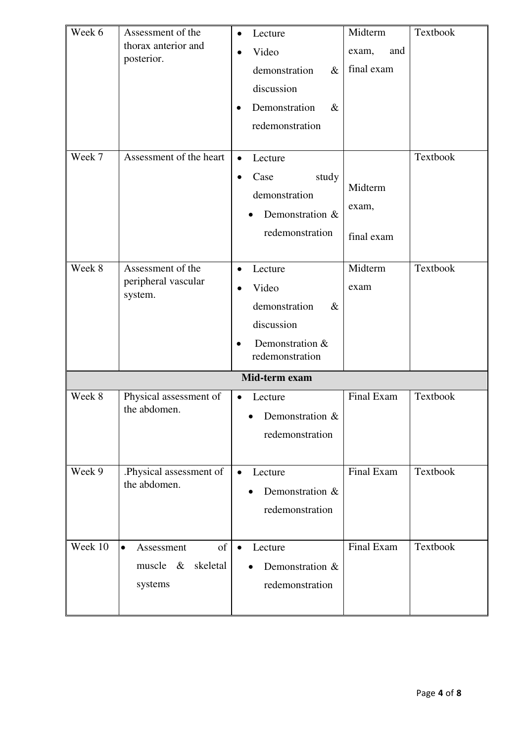| Week 6  | Assessment of the<br>thorax anterior and<br>posterior.              | Lecture<br>$\bullet$<br>Video<br>demonstration<br>$\&$<br>discussion<br>Demonstration<br>$\&$<br>redemonstration | Midterm<br>and<br>exam,<br>final exam | Textbook |
|---------|---------------------------------------------------------------------|------------------------------------------------------------------------------------------------------------------|---------------------------------------|----------|
| Week 7  | Assessment of the heart                                             | Lecture<br>$\bullet$<br>study<br>Case<br>demonstration<br>Demonstration &<br>redemonstration                     | Midterm<br>exam,<br>final exam        | Textbook |
| Week 8  | Assessment of the<br>peripheral vascular<br>system.                 | Lecture<br>$\bullet$<br>Video<br>demonstration<br>$\&$<br>discussion<br>Demonstration &<br>redemonstration       | Midterm<br>exam                       | Textbook |
|         |                                                                     | Mid-term exam                                                                                                    |                                       |          |
| Week 8  | Physical assessment of<br>the abdomen.                              | Lecture<br>$\bullet$<br>Demonstration $\&$<br>redemonstration                                                    | Final Exam                            | Textbook |
| Week 9  | .Physical assessment of<br>the abdomen.                             | Lecture<br>$\bullet$<br>Demonstration &<br>redemonstration                                                       | Final Exam                            | Textbook |
| Week 10 | of<br>$\bullet$<br>Assessment<br>muscle $\&$<br>skeletal<br>systems | Lecture<br>$\bullet$<br>Demonstration &<br>redemonstration                                                       | Final Exam                            | Textbook |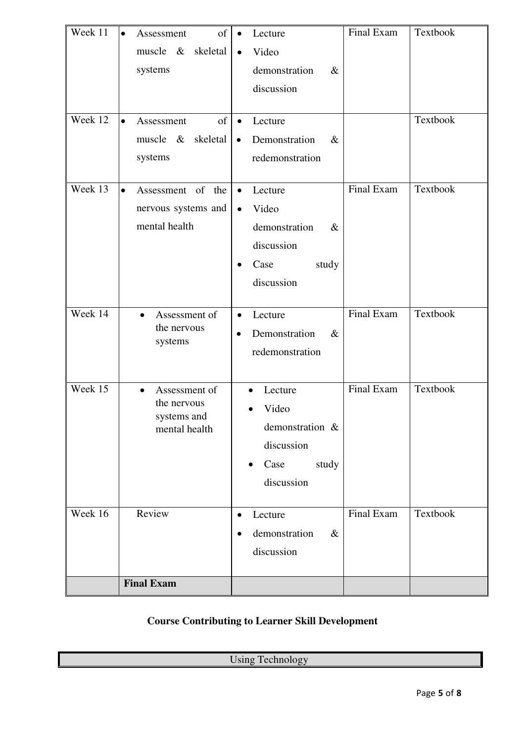| Week 11<br>Week 12 | of<br>Assessment<br>$\bullet$<br>muscle $\&$<br>skeletal<br>systems<br>of<br>$\bullet$<br>Assessment<br>skeletal<br>muscle $\&$<br>systems | Lecture<br>$\bullet$<br>Video<br>$\bullet$<br>demonstration<br>$\&$<br>discussion<br>Lecture<br>$\bullet$<br>Demonstration<br>$\&$<br>$\bullet$<br>redemonstration | Final Exam | Textbook<br>Textbook |
|--------------------|--------------------------------------------------------------------------------------------------------------------------------------------|--------------------------------------------------------------------------------------------------------------------------------------------------------------------|------------|----------------------|
| Week 13            | Assessment of<br>$\bullet$<br>the<br>nervous systems and<br>mental health                                                                  | Lecture<br>$\bullet$<br>Video<br>$\bullet$<br>demonstration<br>$\&$<br>discussion<br>study<br>Case<br>$\bullet$<br>discussion                                      | Final Exam | Textbook             |
| Week 14            | Assessment of<br>$\bullet$<br>the nervous<br>systems                                                                                       | Lecture<br>$\bullet$<br>Demonstration<br>$\&$<br>$\bullet$<br>redemonstration                                                                                      | Final Exam | Textbook             |
| Week 15            | Assessment of<br>$\bullet$<br>the nervous<br>systems and<br>mental health                                                                  | Lecture<br>$\bullet$<br>Video<br>demonstration &<br>discussion<br>Case<br>study<br>$\bullet$<br>discussion                                                         | Final Exam | Textbook             |
| Week 16            | Review                                                                                                                                     | Lecture<br>$\bullet$<br>demonstration<br>$\&$<br>$\bullet$<br>discussion                                                                                           | Final Exam | Textbook             |
|                    | <b>Final Exam</b>                                                                                                                          |                                                                                                                                                                    |            |                      |

## **Course Contributing to Learner Skill Development**

Using Technology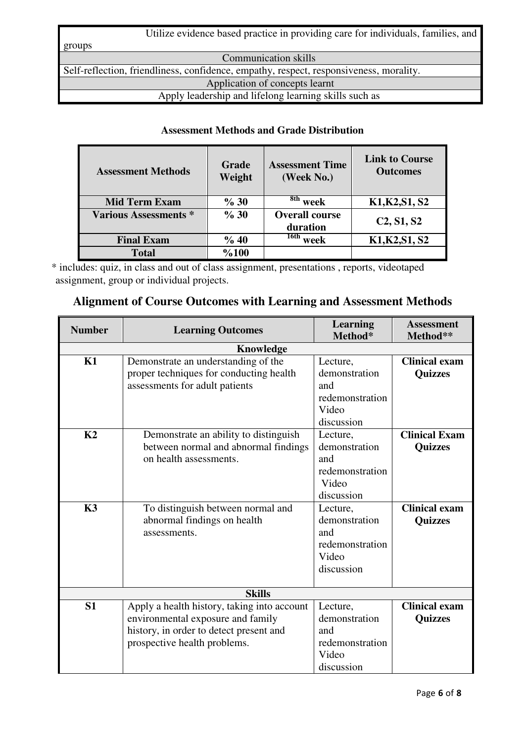| Utilize evidence based practice in providing care for individuals, families, and       |
|----------------------------------------------------------------------------------------|
| groups                                                                                 |
| <b>Communication skills</b>                                                            |
| Self-reflection, friendliness, confidence, empathy, respect, responsiveness, morality. |
| Application of concepts learnt                                                         |
| Apply leadership and lifelong learning skills such as                                  |

### **Assessment Methods and Grade Distribution**

| <b>Assessment Methods</b>    | Grade<br>Weight | <b>Assessment Time</b><br>(Week No.) | <b>Link to Course</b><br><b>Outcomes</b> |
|------------------------------|-----------------|--------------------------------------|------------------------------------------|
| <b>Mid Term Exam</b>         | % 30            | $8th$ week                           | K1, K2, S1, S2                           |
| <b>Various Assessments *</b> | % 30            | <b>Overall course</b><br>duration    | C2, S1, S2                               |
| <b>Final Exam</b>            | % 40            | $\frac{16th}{16}$ week               | K1, K2, S1, S2                           |
| <b>Total</b>                 | %100            |                                      |                                          |

\* includes: quiz, in class and out of class assignment, presentations , reports, videotaped assignment, group or individual projects.

## **Alignment of Course Outcomes with Learning and Assessment Methods**

| <b>Number</b>  | <b>Learning Outcomes</b>                                                                                                                                    | <b>Learning</b><br>Method*                                                 | <b>Assessment</b><br>Method**          |
|----------------|-------------------------------------------------------------------------------------------------------------------------------------------------------------|----------------------------------------------------------------------------|----------------------------------------|
|                | Knowledge                                                                                                                                                   |                                                                            |                                        |
| K1             | Demonstrate an understanding of the<br>proper techniques for conducting health<br>assessments for adult patients                                            | Lecture,<br>demonstration<br>and<br>redemonstration<br>Video<br>discussion | <b>Clinical exam</b><br><b>Quizzes</b> |
| K <sub>2</sub> | Demonstrate an ability to distinguish<br>between normal and abnormal findings<br>on health assessments.                                                     | Lecture,<br>demonstration<br>and<br>redemonstration<br>Video<br>discussion | <b>Clinical Exam</b><br><b>Quizzes</b> |
| K3             | To distinguish between normal and<br>abnormal findings on health<br>assessments.                                                                            | Lecture,<br>demonstration<br>and<br>redemonstration<br>Video<br>discussion | <b>Clinical exam</b><br><b>Quizzes</b> |
|                | <b>Skills</b>                                                                                                                                               |                                                                            |                                        |
| S <sub>1</sub> | Apply a health history, taking into account<br>environmental exposure and family<br>history, in order to detect present and<br>prospective health problems. | Lecture,<br>demonstration<br>and<br>redemonstration<br>Video<br>discussion | <b>Clinical exam</b><br><b>Quizzes</b> |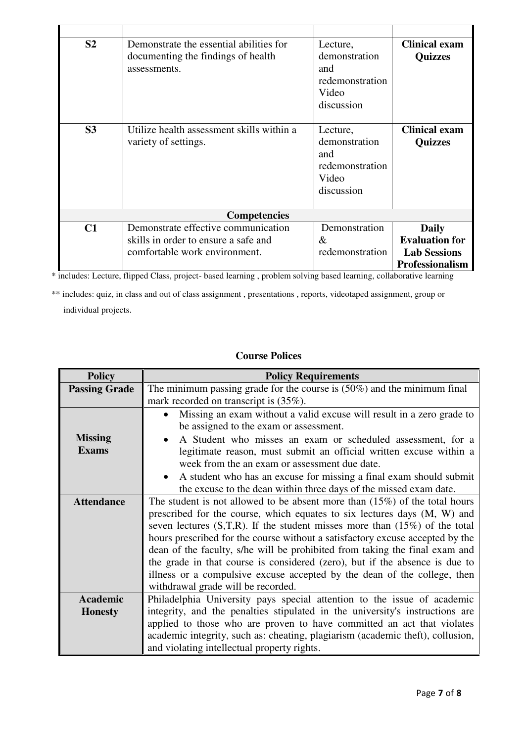| S <sub>2</sub> | Demonstrate the essential abilities for<br>documenting the findings of health<br>assessments.                | Lecture,<br>demonstration<br>and<br>redemonstration<br>Video<br>discussion | <b>Clinical exam</b><br><b>Quizzes</b>                                                 |  |  |
|----------------|--------------------------------------------------------------------------------------------------------------|----------------------------------------------------------------------------|----------------------------------------------------------------------------------------|--|--|
| S <sub>3</sub> | Utilize health assessment skills within a<br>variety of settings.                                            | Lecture,<br>demonstration<br>and<br>redemonstration<br>Video<br>discussion | <b>Clinical exam</b><br><b>Quizzes</b>                                                 |  |  |
|                | <b>Competencies</b>                                                                                          |                                                                            |                                                                                        |  |  |
| C1             | Demonstrate effective communication<br>skills in order to ensure a safe and<br>comfortable work environment. | Demonstration<br>$\&$<br>redemonstration                                   | <b>Daily</b><br><b>Evaluation for</b><br><b>Lab Sessions</b><br><b>Professionalism</b> |  |  |

\* includes: Lecture, flipped Class, project- based learning , problem solving based learning, collaborative learning

\*\* includes: quiz, in class and out of class assignment , presentations , reports, videotaped assignment, group or individual projects.

### **Course Polices**

| <b>Policy</b>        | <b>Policy Requirements</b>                                                       |  |  |
|----------------------|----------------------------------------------------------------------------------|--|--|
| <b>Passing Grade</b> | The minimum passing grade for the course is $(50\%)$ and the minimum final       |  |  |
|                      | mark recorded on transcript is $(35\%)$ .                                        |  |  |
|                      | Missing an exam without a valid excuse will result in a zero grade to            |  |  |
|                      | be assigned to the exam or assessment.                                           |  |  |
| <b>Missing</b>       | A Student who misses an exam or scheduled assessment, for a                      |  |  |
| <b>Exams</b>         | legitimate reason, must submit an official written excuse within a               |  |  |
|                      | week from the an exam or assessment due date.                                    |  |  |
|                      | A student who has an excuse for missing a final exam should submit               |  |  |
|                      | the excuse to the dean within three days of the missed exam date.                |  |  |
| <b>Attendance</b>    | The student is not allowed to be absent more than $(15\%)$ of the total hours    |  |  |
|                      | prescribed for the course, which equates to six lectures days (M, W) and         |  |  |
|                      | seven lectures $(S,T,R)$ . If the student misses more than $(15\%)$ of the total |  |  |
|                      | hours prescribed for the course without a satisfactory excuse accepted by the    |  |  |
|                      | dean of the faculty, s/he will be prohibited from taking the final exam and      |  |  |
|                      | the grade in that course is considered (zero), but if the absence is due to      |  |  |
|                      | illness or a compulsive excuse accepted by the dean of the college, then         |  |  |
|                      | withdrawal grade will be recorded.                                               |  |  |
| <b>Academic</b>      | Philadelphia University pays special attention to the issue of academic          |  |  |
| <b>Honesty</b>       | integrity, and the penalties stipulated in the university's instructions are     |  |  |
|                      | applied to those who are proven to have committed an act that violates           |  |  |
|                      | academic integrity, such as: cheating, plagiarism (academic theft), collusion,   |  |  |
|                      | and violating intellectual property rights.                                      |  |  |